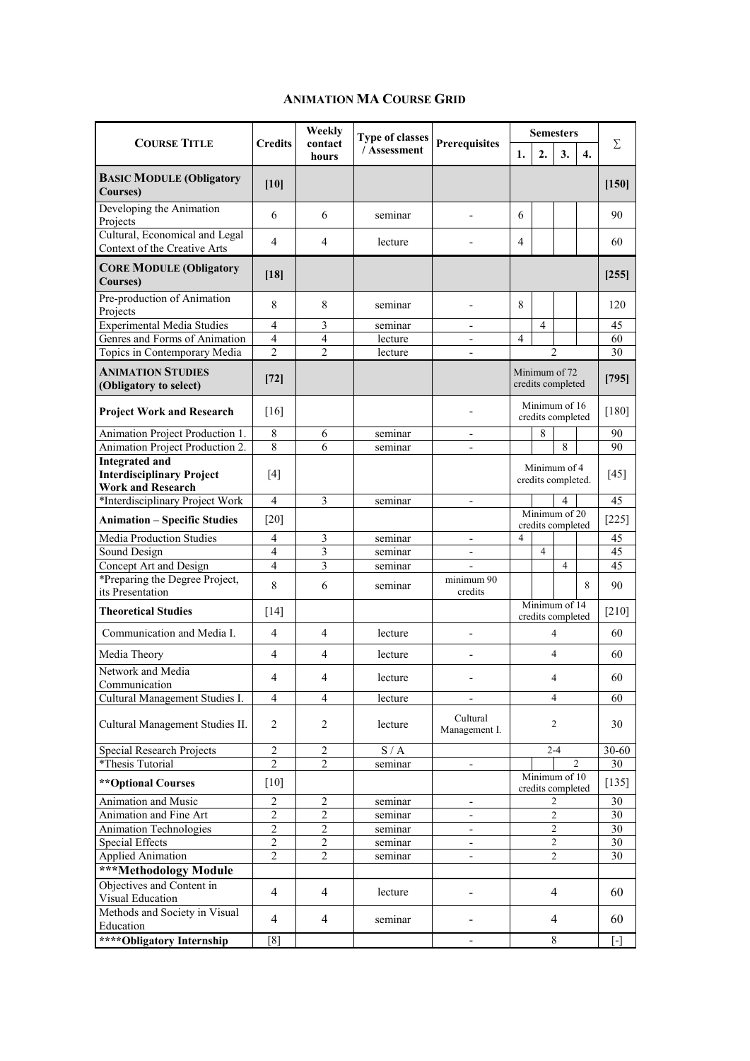## **ANIMATION MA COURSE GRID**

| <b>COURSE TITLE</b>                                                                   | <b>Credits</b>                   | Weekly<br>contact<br>hours   | <b>Type of classes</b><br>/ Assessment | <b>Prerequisites</b>      | <b>Semesters</b>                   |                  |                |                   |                 |
|---------------------------------------------------------------------------------------|----------------------------------|------------------------------|----------------------------------------|---------------------------|------------------------------------|------------------|----------------|-------------------|-----------------|
|                                                                                       |                                  |                              |                                        |                           | 1.                                 | $\overline{2}$ . | 3.             | 4.                | Σ               |
| <b>BASIC MODULE (Obligatory</b><br>Courses)                                           | $[10]$                           |                              |                                        |                           |                                    |                  |                |                   | [150]           |
| Developing the Animation<br>Projects                                                  | 6                                | 6                            | seminar                                |                           | 6                                  |                  |                |                   | 90              |
| Cultural, Economical and Legal<br>Context of the Creative Arts                        | 4                                | 4                            | lecture                                |                           | 4                                  |                  |                |                   | 60              |
| <b>CORE MODULE (Obligatory</b><br>Courses)                                            | [18]                             |                              |                                        |                           |                                    |                  |                |                   | [255]           |
| Pre-production of Animation<br>Projects                                               | 8                                | 8                            | seminar                                |                           | 8                                  |                  |                |                   | 120             |
| <b>Experimental Media Studies</b>                                                     | $\overline{4}$                   | 3                            | seminar                                | $\overline{a}$            |                                    | 4                |                |                   | 45              |
| Genres and Forms of Animation                                                         | $\overline{4}$                   | $\overline{4}$               | lecture                                | $\overline{a}$            | 4                                  |                  |                |                   | 60              |
| Topics in Contemporary Media                                                          | $\overline{\mathcal{L}}$         | $\mathfrak{D}$               | lecture                                |                           |                                    |                  | $\mathfrak{D}$ |                   | 30              |
| <b>ANIMATION STUDIES</b><br>(Obligatory to select)                                    | $[72]$                           |                              |                                        |                           | Minimum of 72<br>credits completed |                  |                |                   | [795]           |
| <b>Project Work and Research</b>                                                      | [16]                             |                              |                                        |                           | Minimum of 16<br>credits completed |                  |                | $[180]$           |                 |
| Animation Project Production 1.                                                       | $\,8\,$                          | 6                            | seminar                                | $\overline{a}$            |                                    | 8                |                |                   | 90              |
| Animation Project Production 2.                                                       | 8                                | 6                            | seminar                                | $\overline{\phantom{a}}$  |                                    |                  | 8              |                   | 90              |
| <b>Integrated and</b><br><b>Interdisciplinary Project</b><br><b>Work and Research</b> | [4]                              |                              |                                        |                           | Minimum of 4<br>credits completed. |                  |                |                   | $[45]$          |
| *Interdisciplinary Project Work                                                       | $\overline{4}$                   | 3                            | seminar                                | $\overline{\phantom{a}}$  |                                    |                  |                |                   | 45              |
| <b>Animation - Specific Studies</b>                                                   | $\lceil 20 \rceil$               |                              |                                        |                           | Minimum of 20<br>credits completed |                  |                | $[225]$           |                 |
| <b>Media Production Studies</b>                                                       | 4                                | 3                            | seminar                                | $\overline{\phantom{a}}$  | $\overline{4}$                     |                  |                |                   | 45              |
| Sound Design                                                                          | $\overline{4}$                   | 3                            | seminar                                |                           |                                    | $\overline{4}$   |                |                   | $\overline{45}$ |
| Concept Art and Design                                                                | $\overline{4}$                   | 3                            | seminar                                |                           |                                    |                  | $\overline{4}$ |                   | 45              |
| *Preparing the Degree Project,<br>its Presentation                                    | 8                                | 6                            | seminar                                | minimum 90<br>credits     |                                    |                  |                | 8                 | 90              |
| <b>Theoretical Studies</b>                                                            | $[14]$                           |                              |                                        |                           | Minimum of 14<br>credits completed |                  |                |                   | $[210]$         |
| Communication and Media I.                                                            | $\overline{4}$                   | $\overline{4}$               | lecture                                |                           | $\overline{4}$                     |                  |                | 60                |                 |
| Media Theory                                                                          | $\overline{4}$                   | $\overline{4}$               | lecture                                |                           | 4                                  |                  |                | 60                |                 |
| Network and Media<br>Communication                                                    | 4                                | $\overline{4}$               | lecture                                |                           | $\overline{4}$                     |                  |                | 60                |                 |
| Cultural Management Studies I.                                                        | $\overline{4}$                   | $\overline{4}$               | lecture                                | $\overline{a}$            | $\overline{4}$                     |                  |                | 60                |                 |
| Cultural Management Studies II.                                                       | $\overline{2}$                   | $\overline{2}$               | lecture                                | Cultural<br>Management I. | 2                                  |                  |                |                   | 30              |
| <b>Special Research Projects</b>                                                      | $\overline{2}$                   | $\overline{2}$               | S/A                                    |                           | $2 - 4$                            |                  |                | 30-60             |                 |
| *Thesis Tutorial                                                                      | $\overline{2}$                   | 2                            | seminar                                | $\overline{\phantom{a}}$  | 2                                  |                  |                | 30                |                 |
| ** Optional Courses                                                                   | $[10]$                           |                              |                                        |                           | Minimum of 10<br>credits completed |                  |                | $[135]$           |                 |
| Animation and Music                                                                   | 2                                | $\overline{2}$               | seminar                                | $\overline{\phantom{0}}$  | 2                                  |                  |                | 30                |                 |
| Animation and Fine Art                                                                | 2                                | $\overline{2}$               | seminar                                |                           | 2                                  |                  |                | 30                |                 |
| Animation Technologies                                                                | $\overline{c}$                   | $\overline{2}$               | seminar                                |                           | $\overline{2}$                     |                  |                | 30                |                 |
| Special Effects                                                                       | $\overline{c}$<br>$\overline{c}$ | $\sqrt{2}$<br>$\overline{2}$ | seminar                                | $\overline{a}$            | $\overline{2}$<br>$\overline{2}$   |                  |                | 30<br>30          |                 |
| <b>Applied Animation</b>                                                              |                                  |                              | seminar                                | $\overline{\phantom{0}}$  |                                    |                  |                |                   |                 |
| ***Methodology Module<br>Objectives and Content in                                    |                                  |                              |                                        |                           |                                    |                  |                |                   |                 |
| Visual Education                                                                      | $\overline{4}$                   | $\overline{4}$               | lecture                                |                           | 4                                  |                  |                | 60                |                 |
| Methods and Society in Visual<br>Education                                            | $\overline{4}$                   | 4                            | seminar                                |                           | 4                                  |                  |                |                   | 60              |
| ****Obligatory Internship                                                             | [8]                              |                              |                                        | $\overline{a}$            | 8                                  |                  |                | $\lceil - \rceil$ |                 |